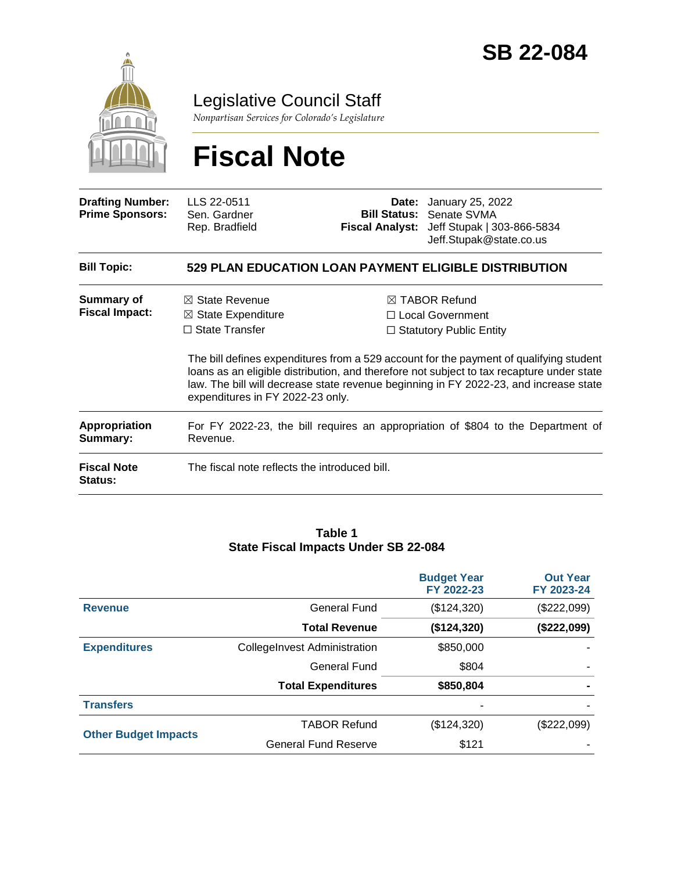

### Legislative Council Staff

*Nonpartisan Services for Colorado's Legislature*

# **Fiscal Note**

| <b>Drafting Number:</b><br><b>Prime Sponsors:</b> | LLS 22-0511<br>Sen. Gardner<br>Rep. Bradfield                                                                           | Date: | January 25, 2022<br><b>Bill Status: Senate SVMA</b><br>Fiscal Analyst: Jeff Stupak   303-866-5834<br>Jeff.Stupak@state.co.us                                                                                                                                                                                                                           |
|---------------------------------------------------|-------------------------------------------------------------------------------------------------------------------------|-------|--------------------------------------------------------------------------------------------------------------------------------------------------------------------------------------------------------------------------------------------------------------------------------------------------------------------------------------------------------|
| <b>Bill Topic:</b>                                |                                                                                                                         |       | <b>529 PLAN EDUCATION LOAN PAYMENT ELIGIBLE DISTRIBUTION</b>                                                                                                                                                                                                                                                                                           |
| Summary of<br><b>Fiscal Impact:</b>               | $\boxtimes$ State Revenue<br>$\boxtimes$ State Expenditure<br>$\Box$ State Transfer<br>expenditures in FY 2022-23 only. |       | ⊠ TABOR Refund<br>□ Local Government<br>$\Box$ Statutory Public Entity<br>The bill defines expenditures from a 529 account for the payment of qualifying student<br>loans as an eligible distribution, and therefore not subject to tax recapture under state<br>law. The bill will decrease state revenue beginning in FY 2022-23, and increase state |
| <b>Appropriation</b><br>Summary:                  | For FY 2022-23, the bill requires an appropriation of \$804 to the Department of<br>Revenue.                            |       |                                                                                                                                                                                                                                                                                                                                                        |
| <b>Fiscal Note</b><br>Status:                     | The fiscal note reflects the introduced bill.                                                                           |       |                                                                                                                                                                                                                                                                                                                                                        |

#### **Table 1 State Fiscal Impacts Under SB 22-084**

|                             |                                     | <b>Budget Year</b><br>FY 2022-23 | <b>Out Year</b><br>FY 2023-24 |
|-----------------------------|-------------------------------------|----------------------------------|-------------------------------|
| <b>Revenue</b>              | General Fund                        | (\$124,320)                      | (\$222,099)                   |
|                             | <b>Total Revenue</b>                | (\$124,320)                      | (\$222,099)                   |
| <b>Expenditures</b>         | <b>CollegeInvest Administration</b> | \$850,000                        |                               |
|                             | General Fund                        | \$804                            |                               |
|                             | <b>Total Expenditures</b>           | \$850,804                        |                               |
| <b>Transfers</b>            |                                     |                                  |                               |
|                             | <b>TABOR Refund</b>                 | (\$124,320)                      | (\$222,099)                   |
| <b>Other Budget Impacts</b> | <b>General Fund Reserve</b>         | \$121                            |                               |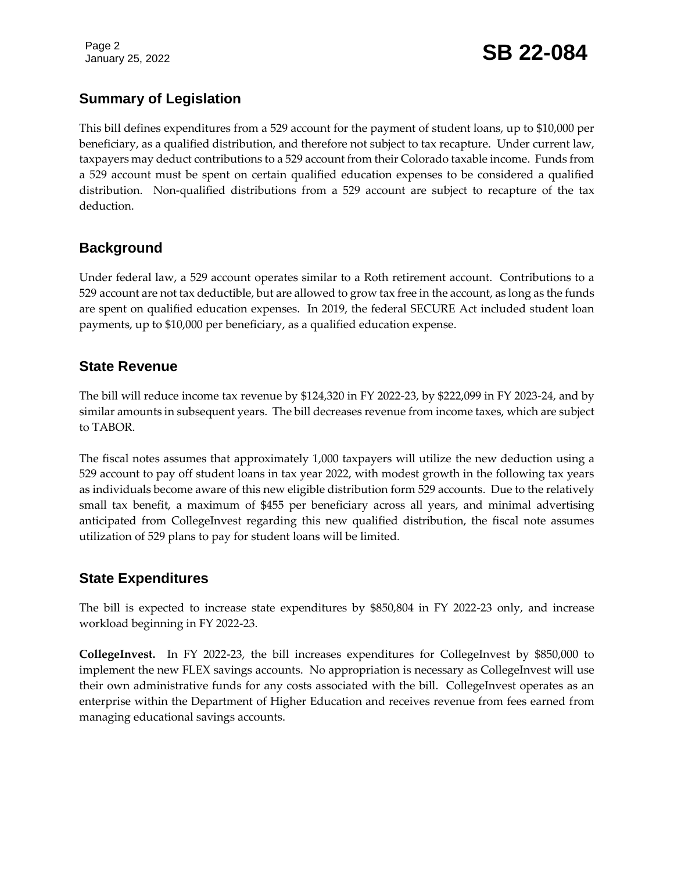Page 2

## January 25, 2022 **SB 22-084**

#### **Summary of Legislation**

This bill defines expenditures from a 529 account for the payment of student loans, up to \$10,000 per beneficiary, as a qualified distribution, and therefore not subject to tax recapture. Under current law, taxpayers may deduct contributions to a 529 account from their Colorado taxable income. Funds from a 529 account must be spent on certain qualified education expenses to be considered a qualified distribution. Non-qualified distributions from a 529 account are subject to recapture of the tax deduction.

#### **Background**

Under federal law, a 529 account operates similar to a Roth retirement account. Contributions to a 529 account are not tax deductible, but are allowed to grow tax free in the account, as long as the funds are spent on qualified education expenses. In 2019, the federal SECURE Act included student loan payments, up to \$10,000 per beneficiary, as a qualified education expense.

#### **State Revenue**

The bill will reduce income tax revenue by \$124,320 in FY 2022-23, by \$222,099 in FY 2023-24, and by similar amounts in subsequent years. The bill decreases revenue from income taxes, which are subject to TABOR.

The fiscal notes assumes that approximately 1,000 taxpayers will utilize the new deduction using a 529 account to pay off student loans in tax year 2022, with modest growth in the following tax years as individuals become aware of this new eligible distribution form 529 accounts. Due to the relatively small tax benefit, a maximum of \$455 per beneficiary across all years, and minimal advertising anticipated from CollegeInvest regarding this new qualified distribution, the fiscal note assumes utilization of 529 plans to pay for student loans will be limited.

#### **State Expenditures**

The bill is expected to increase state expenditures by \$850,804 in FY 2022-23 only, and increase workload beginning in FY 2022-23.

**CollegeInvest.** In FY 2022-23, the bill increases expenditures for CollegeInvest by \$850,000 to implement the new FLEX savings accounts. No appropriation is necessary as CollegeInvest will use their own administrative funds for any costs associated with the bill. CollegeInvest operates as an enterprise within the Department of Higher Education and receives revenue from fees earned from managing educational savings accounts.